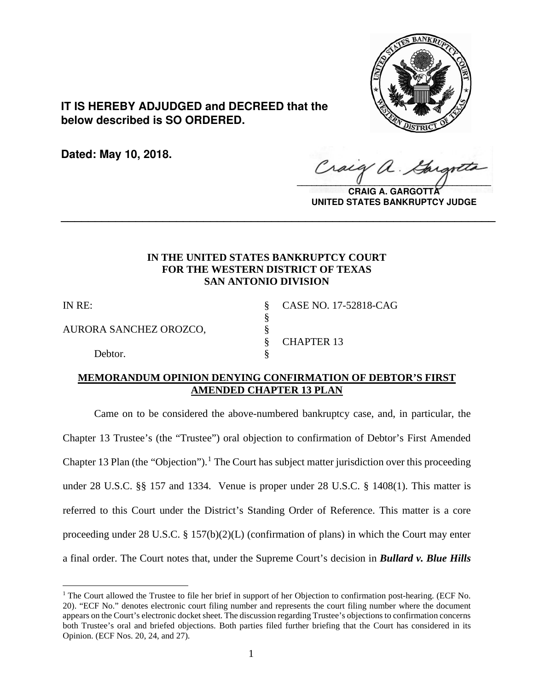

**IT IS HEREBY ADJUDGED and DECREED that the below described is SO ORDERED.**

**Dated: May 10, 2018.**

Craig  $\sqrt{2}$ 

**CRAIG A. GARGOTT UNITED STATES BANKRUPTCY JUDGE**

# **IN THE UNITED STATES BANKRUPTCY COURT FOR THE WESTERN DISTRICT OF TEXAS SAN ANTONIO DIVISION**

**\_\_\_\_\_\_\_\_\_\_\_\_\_\_\_\_\_\_\_\_\_\_\_\_\_\_\_\_\_\_\_\_\_\_\_\_\_\_\_\_\_\_\_\_\_\_\_\_\_\_\_\_\_\_\_\_\_\_\_\_\_\_\_\_**

§

AURORA SANCHEZ OROZCO, §

Debtor.

IN RE: § CASE NO. 17-52818-CAG § CHAPTER 13

# **MEMORANDUM OPINION DENYING CONFIRMATION OF DEBTOR'S FIRST AMENDED CHAPTER 13 PLAN**

Came on to be considered the above-numbered bankruptcy case, and, in particular, the Chapter 13 Trustee's (the "Trustee") oral objection to confirmation of Debtor's First Amended Chapter [1](#page-0-0)3 Plan (the "Objection").<sup>1</sup> The Court has subject matter jurisdiction over this proceeding under 28 U.S.C. §§ 157 and 1334. Venue is proper under 28 U.S.C. § 1408(1). This matter is referred to this Court under the District's Standing Order of Reference. This matter is a core proceeding under 28 U.S.C. § 157(b)(2)(L) (confirmation of plans) in which the Court may enter a final order. The Court notes that, under the Supreme Court's decision in *Bullard v. Blue Hills*

<span id="page-0-0"></span> $\overline{a}$ <sup>1</sup> The Court allowed the Trustee to file her brief in support of her Objection to confirmation post-hearing. (ECF No. 20). "ECF No." denotes electronic court filing number and represents the court filing number where the document appears on the Court's electronic docket sheet. The discussion regarding Trustee's objections to confirmation concerns both Trustee's oral and briefed objections. Both parties filed further briefing that the Court has considered in its Opinion. (ECF Nos. 20, 24, and 27).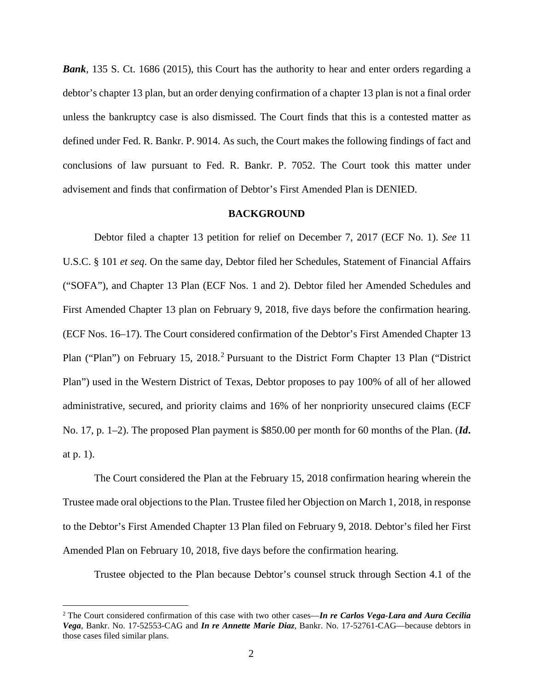*Bank*, 135 S. Ct. 1686 (2015), this Court has the authority to hear and enter orders regarding a debtor's chapter 13 plan, but an order denying confirmation of a chapter 13 plan is not a final order unless the bankruptcy case is also dismissed. The Court finds that this is a contested matter as defined under Fed. R. Bankr. P. 9014. As such, the Court makes the following findings of fact and conclusions of law pursuant to Fed. R. Bankr. P. 7052. The Court took this matter under advisement and finds that confirmation of Debtor's First Amended Plan is DENIED.

#### **BACKGROUND**

Debtor filed a chapter 13 petition for relief on December 7, 2017 (ECF No. 1). *See* 11 U.S.C. § 101 *et seq*. On the same day, Debtor filed her Schedules, Statement of Financial Affairs ("SOFA"), and Chapter 13 Plan (ECF Nos. 1 and 2). Debtor filed her Amended Schedules and First Amended Chapter 13 plan on February 9, 2018, five days before the confirmation hearing. (ECF Nos. 16–17). The Court considered confirmation of the Debtor's First Amended Chapter 13 Plan ("Plan") on February 15, [2](#page-1-0)018.<sup>2</sup> Pursuant to the District Form Chapter 13 Plan ("District Plan") used in the Western District of Texas, Debtor proposes to pay 100% of all of her allowed administrative, secured, and priority claims and 16% of her nonpriority unsecured claims (ECF No. 17, p. 1–2). The proposed Plan payment is \$850.00 per month for 60 months of the Plan. (*Id***.** at p. 1).

The Court considered the Plan at the February 15, 2018 confirmation hearing wherein the Trustee made oral objections to the Plan. Trustee filed her Objection on March 1, 2018, in response to the Debtor's First Amended Chapter 13 Plan filed on February 9, 2018. Debtor's filed her First Amended Plan on February 10, 2018, five days before the confirmation hearing.

Trustee objected to the Plan because Debtor's counsel struck through Section 4.1 of the

<span id="page-1-0"></span> <sup>2</sup> The Court considered confirmation of this case with two other cases—*In re Carlos Vega-Lara and Aura Cecilia Vega*, Bankr. No. 17-52553-CAG and *In re Annette Marie Diaz*, Bankr. No. 17-52761-CAG—because debtors in those cases filed similar plans.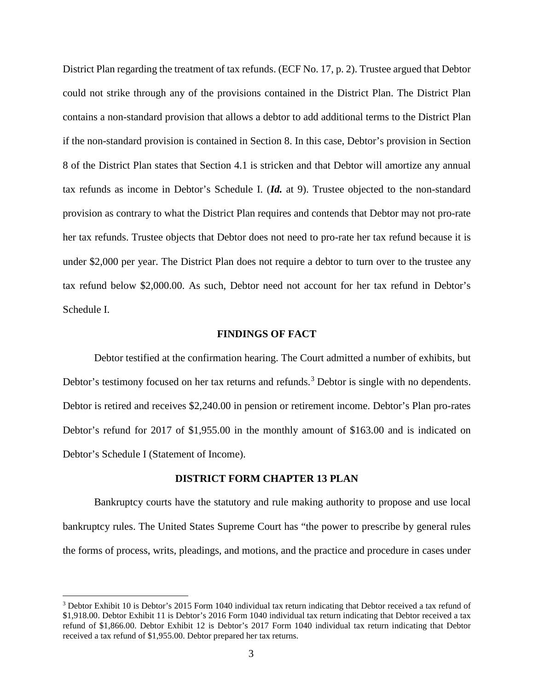District Plan regarding the treatment of tax refunds. (ECF No. 17, p. 2). Trustee argued that Debtor could not strike through any of the provisions contained in the District Plan. The District Plan contains a non-standard provision that allows a debtor to add additional terms to the District Plan if the non-standard provision is contained in Section 8. In this case, Debtor's provision in Section 8 of the District Plan states that Section 4.1 is stricken and that Debtor will amortize any annual tax refunds as income in Debtor's Schedule I. (*Id.* at 9). Trustee objected to the non-standard provision as contrary to what the District Plan requires and contends that Debtor may not pro-rate her tax refunds. Trustee objects that Debtor does not need to pro-rate her tax refund because it is under \$2,000 per year. The District Plan does not require a debtor to turn over to the trustee any tax refund below \$2,000.00. As such, Debtor need not account for her tax refund in Debtor's Schedule I.

### **FINDINGS OF FACT**

Debtor testified at the confirmation hearing. The Court admitted a number of exhibits, but Debtor's testimony focused on her tax returns and refunds.<sup>[3](#page-2-0)</sup> Debtor is single with no dependents. Debtor is retired and receives \$2,240.00 in pension or retirement income. Debtor's Plan pro-rates Debtor's refund for 2017 of \$1,955.00 in the monthly amount of \$163.00 and is indicated on Debtor's Schedule I (Statement of Income).

### **DISTRICT FORM CHAPTER 13 PLAN**

Bankruptcy courts have the statutory and rule making authority to propose and use local bankruptcy rules. The United States Supreme Court has "the power to prescribe by general rules the forms of process, writs, pleadings, and motions, and the practice and procedure in cases under

<span id="page-2-0"></span><sup>&</sup>lt;sup>3</sup> Debtor Exhibit 10 is Debtor's 2015 Form 1040 individual tax return indicating that Debtor received a tax refund of \$1,918.00. Debtor Exhibit 11 is Debtor's 2016 Form 1040 individual tax return indicating that Debtor received a tax refund of \$1,866.00. Debtor Exhibit 12 is Debtor's 2017 Form 1040 individual tax return indicating that Debtor received a tax refund of \$1,955.00. Debtor prepared her tax returns.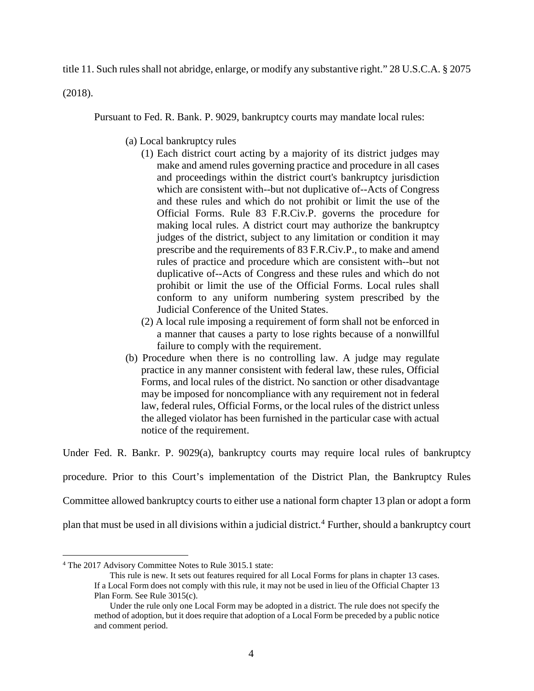title 11. Such rules shall not abridge, enlarge, or modify any substantive right." 28 U.S.C.A. § 2075

(2018).

Pursuant to Fed. R. Bank. P. 9029, bankruptcy courts may mandate local rules:

- (a) Local bankruptcy rules
	- (1) Each district court acting by a majority of its district judges may make and amend rules governing practice and procedure in all cases and proceedings within the district court's bankruptcy jurisdiction which are consistent with--but not duplicative of--Acts of Congress and these rules and which do not prohibit or limit the use of the Official Forms. Rule 83 [F.R.Civ.P.](https://1.next.westlaw.com/Link/Document/FullText?findType=L&pubNum=1000600&cite=USFRCPR83&originatingDoc=ND2D7F9B0B89F11D8983DF34406B5929B&refType=LQ&originationContext=document&transitionType=DocumentItem&contextData=(sc.Category)) governs the procedure for making local rules. A district court may authorize the bankruptcy judges of the district, subject to any limitation or condition it may prescribe and the requirements of 83 [F.R.Civ.P.](https://1.next.westlaw.com/Link/Document/FullText?findType=L&pubNum=1000600&cite=USFRCPR83&originatingDoc=ND2D7F9B0B89F11D8983DF34406B5929B&refType=LQ&originationContext=document&transitionType=DocumentItem&contextData=(sc.Category)), to make and amend rules of practice and procedure which are consistent with--but not duplicative of--Acts of Congress and these rules and which do not prohibit or limit the use of the Official Forms. Local rules shall conform to any uniform numbering system prescribed by the Judicial Conference of the United States.
	- (2) A local rule imposing a requirement of form shall not be enforced in a manner that causes a party to lose rights because of a nonwillful failure to comply with the requirement.
- (b) Procedure when there is no controlling law. A judge may regulate practice in any manner consistent with federal law, these rules, Official Forms, and local rules of the district. No sanction or other disadvantage may be imposed for noncompliance with any requirement not in federal law, federal rules, Official Forms, or the local rules of the district unless the alleged violator has been furnished in the particular case with actual notice of the requirement.

Under Fed. R. Bankr. P. 9029(a), bankruptcy courts may require local rules of bankruptcy

procedure. Prior to this Court's implementation of the District Plan, the Bankruptcy Rules

Committee allowed bankruptcy courts to either use a national form chapter 13 plan or adopt a form

plan that must be used in all divisions within a judicial district.<sup>[4](#page-3-0)</sup> Further, should a bankruptcy court

<span id="page-3-0"></span> <sup>4</sup> The <sup>2017</sup> Advisory Committee Notes to Rule 3015.1 state:

This rule is new. It sets out features required for all Local Forms for plans in chapter 13 cases. If a Local Form does not comply with this rule, it may not be used in lieu of the Official Chapter 13 Plan Form. See Rule 3015(c).

Under the rule only one Local Form may be adopted in a district. The rule does not specify the method of adoption, but it does require that adoption of a Local Form be preceded by a public notice and comment period.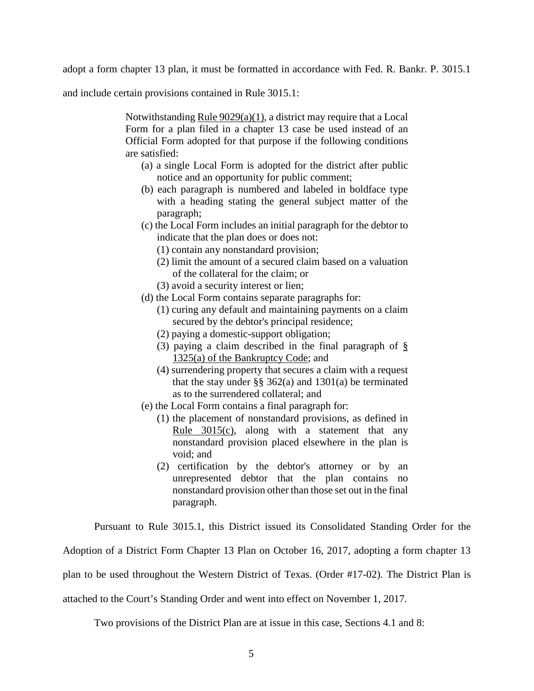adopt a form chapter 13 plan, it must be formatted in accordance with Fed. R. Bankr. P. 3015.1

and include certain provisions contained in Rule 3015.1:

Notwithstanding Rule [9029\(a\)\(1\),](https://1.next.westlaw.com/Link/Document/FullText?findType=L&pubNum=1000611&cite=USFRBPR9029&originatingDoc=NEF6334102F7311E79E73DE9BD41E48D1&refType=RB&originationContext=document&transitionType=DocumentItem&contextData=(sc.Category)#co_pp_7b9b000044381) a district may require that a Local Form for a plan filed in a chapter 13 case be used instead of an Official Form adopted for that purpose if the following conditions are satisfied:

- (a) a single Local Form is adopted for the district after public notice and an opportunity for public comment;
- (b) each paragraph is numbered and labeled in boldface type with a heading stating the general subject matter of the paragraph;
- (c) the Local Form includes an initial paragraph for the debtor to indicate that the plan does or does not:
	- (1) contain any nonstandard provision;
	- (2) limit the amount of a secured claim based on a valuation of the collateral for the claim; or
	- (3) avoid a security interest or lien;
- (d) the Local Form contains separate paragraphs for:
	- (1) curing any default and maintaining payments on a claim secured by the debtor's principal residence;
	- (2) paying a domestic-support obligation;
	- (3) paying a claim described in the final paragraph of [§](https://1.next.westlaw.com/Link/Document/FullText?findType=L&pubNum=1000611&cite=11USCAS1325&originatingDoc=NEF6334102F7311E79E73DE9BD41E48D1&refType=RB&originationContext=document&transitionType=DocumentItem&contextData=(sc.Category)#co_pp_8b3b0000958a4) 1325(a) of the [Bankruptcy](https://1.next.westlaw.com/Link/Document/FullText?findType=L&pubNum=1000611&cite=11USCAS1325&originatingDoc=NEF6334102F7311E79E73DE9BD41E48D1&refType=RB&originationContext=document&transitionType=DocumentItem&contextData=(sc.Category)#co_pp_8b3b0000958a4) Code; and
	- (4) surrendering property that secures a claim with a request that the stay under  $\S$ § 362(a) and 1301(a) be terminated as to the surrendered collateral; and
- (e) the Local Form contains a final paragraph for:
	- (1) the placement of nonstandard provisions, as defined in Rule [3015\(c\),](https://1.next.westlaw.com/Link/Document/FullText?findType=L&pubNum=1000611&cite=USFRBPR3015&originatingDoc=NEF6334102F7311E79E73DE9BD41E48D1&refType=RB&originationContext=document&transitionType=DocumentItem&contextData=(sc.Category)#co_pp_4b24000003ba5) along with a statement that any nonstandard provision placed elsewhere in the plan is void; and
	- (2) certification by the debtor's attorney or by an unrepresented debtor that the plan contains no nonstandard provision other than those set out in the final paragraph.

Pursuant to Rule 3015.1, this District issued its Consolidated Standing Order for the

Adoption of a District Form Chapter 13 Plan on October 16, 2017, adopting a form chapter 13

plan to be used throughout the Western District of Texas. (Order #17-02). The District Plan is

attached to the Court's Standing Order and went into effect on November 1, 2017.

Two provisions of the District Plan are at issue in this case, Sections 4.1 and 8: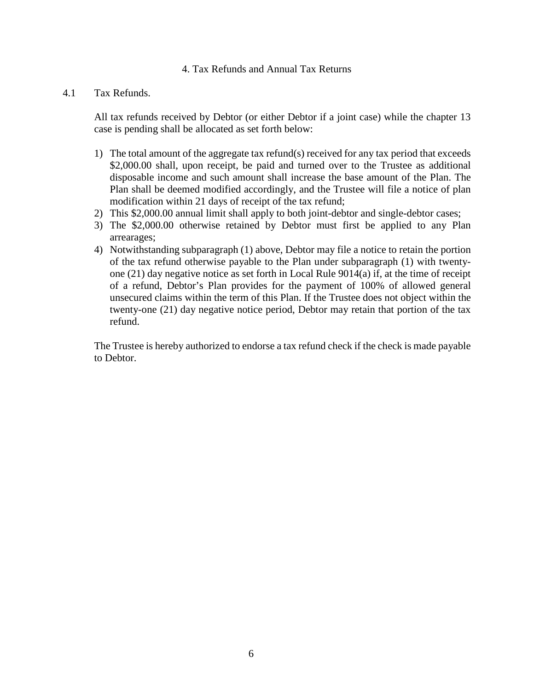### 4. Tax Refunds and Annual Tax Returns

### 4.1 Tax Refunds.

All tax refunds received by Debtor (or either Debtor if a joint case) while the chapter 13 case is pending shall be allocated as set forth below:

- 1) The total amount of the aggregate tax refund(s) received for any tax period that exceeds \$2,000.00 shall, upon receipt, be paid and turned over to the Trustee as additional disposable income and such amount shall increase the base amount of the Plan. The Plan shall be deemed modified accordingly, and the Trustee will file a notice of plan modification within 21 days of receipt of the tax refund;
- 2) This \$2,000.00 annual limit shall apply to both joint-debtor and single-debtor cases;
- 3) The \$2,000.00 otherwise retained by Debtor must first be applied to any Plan arrearages;
- 4) Notwithstanding subparagraph (1) above, Debtor may file a notice to retain the portion of the tax refund otherwise payable to the Plan under subparagraph (1) with twentyone (21) day negative notice as set forth in Local Rule 9014(a) if, at the time of receipt of a refund, Debtor's Plan provides for the payment of 100% of allowed general unsecured claims within the term of this Plan. If the Trustee does not object within the twenty-one (21) day negative notice period, Debtor may retain that portion of the tax refund.

The Trustee is hereby authorized to endorse a tax refund check if the check is made payable to Debtor.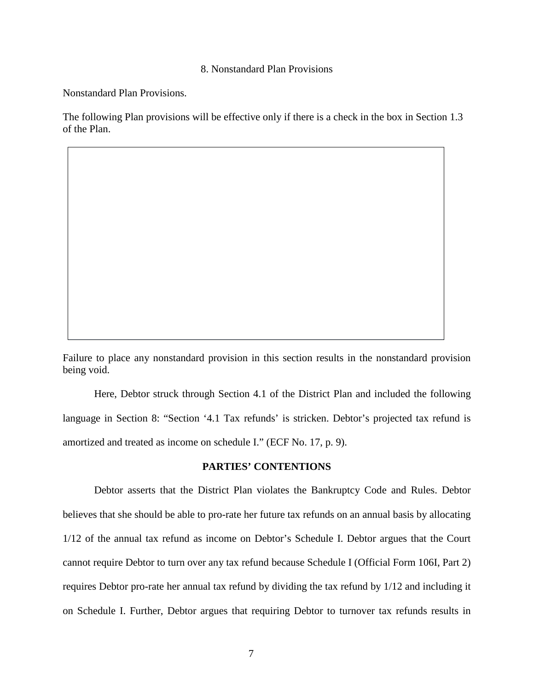### 8. Nonstandard Plan Provisions

Nonstandard Plan Provisions.

The following Plan provisions will be effective only if there is a check in the box in Section 1.3 of the Plan.

Failure to place any nonstandard provision in this section results in the nonstandard provision being void.

Here, Debtor struck through Section 4.1 of the District Plan and included the following language in Section 8: "Section '4.1 Tax refunds' is stricken. Debtor's projected tax refund is amortized and treated as income on schedule I." (ECF No. 17, p. 9).

### **PARTIES' CONTENTIONS**

Debtor asserts that the District Plan violates the Bankruptcy Code and Rules. Debtor believes that she should be able to pro-rate her future tax refunds on an annual basis by allocating 1/12 of the annual tax refund as income on Debtor's Schedule I. Debtor argues that the Court cannot require Debtor to turn over any tax refund because Schedule I (Official Form 106I, Part 2) requires Debtor pro-rate her annual tax refund by dividing the tax refund by 1/12 and including it on Schedule I. Further, Debtor argues that requiring Debtor to turnover tax refunds results in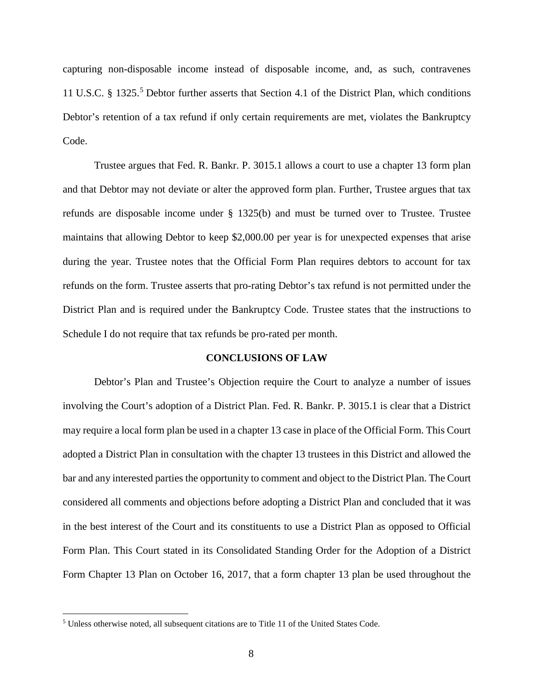capturing non-disposable income instead of disposable income, and, as such, contravenes 11 U.S.C. § 132[5](#page-7-0).<sup>5</sup> Debtor further asserts that Section 4.1 of the District Plan, which conditions Debtor's retention of a tax refund if only certain requirements are met, violates the Bankruptcy Code.

Trustee argues that Fed. R. Bankr. P. 3015.1 allows a court to use a chapter 13 form plan and that Debtor may not deviate or alter the approved form plan. Further, Trustee argues that tax refunds are disposable income under § 1325(b) and must be turned over to Trustee. Trustee maintains that allowing Debtor to keep \$2,000.00 per year is for unexpected expenses that arise during the year. Trustee notes that the Official Form Plan requires debtors to account for tax refunds on the form. Trustee asserts that pro-rating Debtor's tax refund is not permitted under the District Plan and is required under the Bankruptcy Code. Trustee states that the instructions to Schedule I do not require that tax refunds be pro-rated per month.

### **CONCLUSIONS OF LAW**

Debtor's Plan and Trustee's Objection require the Court to analyze a number of issues involving the Court's adoption of a District Plan. Fed. R. Bankr. P. 3015.1 is clear that a District may require a local form plan be used in a chapter 13 case in place of the Official Form. This Court adopted a District Plan in consultation with the chapter 13 trustees in this District and allowed the bar and any interested parties the opportunity to comment and object to the District Plan. The Court considered all comments and objections before adopting a District Plan and concluded that it was in the best interest of the Court and its constituents to use a District Plan as opposed to Official Form Plan. This Court stated in its Consolidated Standing Order for the Adoption of a District Form Chapter 13 Plan on October 16, 2017, that a form chapter 13 plan be used throughout the

<span id="page-7-0"></span> <sup>5</sup> Unless otherwise noted, all subsequent citations are to Title <sup>11</sup> of the United States Code.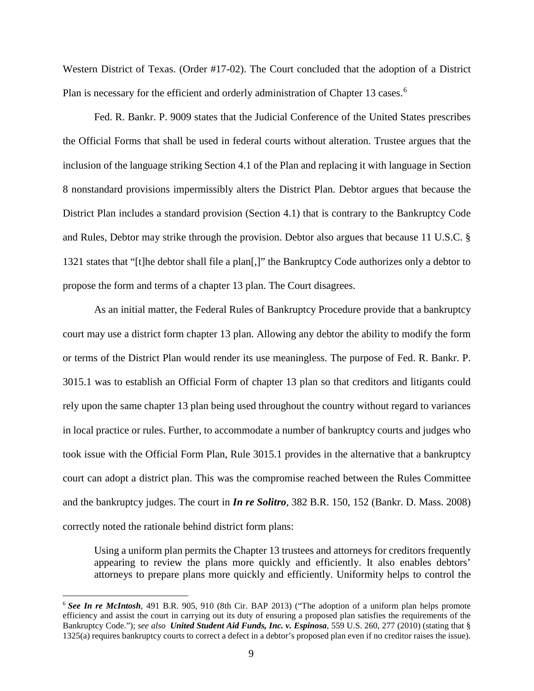Western District of Texas. (Order #17-02). The Court concluded that the adoption of a District Plan is necessary for the efficient and orderly administration of Chapter 13 cases.<sup>[6](#page-8-0)</sup>

Fed. R. Bankr. P. 9009 states that the Judicial Conference of the United States prescribes the Official Forms that shall be used in federal courts without alteration. Trustee argues that the inclusion of the language striking Section 4.1 of the Plan and replacing it with language in Section 8 nonstandard provisions impermissibly alters the District Plan. Debtor argues that because the District Plan includes a standard provision (Section 4.1) that is contrary to the Bankruptcy Code and Rules, Debtor may strike through the provision. Debtor also argues that because 11 U.S.C. § 1321 states that "[t]he debtor shall file a plan[,]" the Bankruptcy Code authorizes only a debtor to propose the form and terms of a chapter 13 plan. The Court disagrees.

As an initial matter, the Federal Rules of Bankruptcy Procedure provide that a bankruptcy court may use a district form chapter 13 plan. Allowing any debtor the ability to modify the form or terms of the District Plan would render its use meaningless. The purpose of Fed. R. Bankr. P. 3015.1 was to establish an Official Form of chapter 13 plan so that creditors and litigants could rely upon the same chapter 13 plan being used throughout the country without regard to variances in local practice or rules. Further, to accommodate a number of bankruptcy courts and judges who took issue with the Official Form Plan, Rule 3015.1 provides in the alternative that a bankruptcy court can adopt a district plan. This was the compromise reached between the Rules Committee and the bankruptcy judges. The court in *In re Solitro*, 382 B.R. 150, 152 (Bankr. D. Mass. 2008) correctly noted the rationale behind district form plans:

Using a uniform plan permits the Chapter 13 trustees and attorneys for creditors frequently appearing to review the plans more quickly and efficiently. It also enables debtors' attorneys to prepare plans more quickly and efficiently. Uniformity helps to control the

<span id="page-8-0"></span> <sup>6</sup> *See In re McIntosh*, <sup>491</sup> B.R. 905, <sup>910</sup> (8th Cir. BAP 2013) ("The adoption of <sup>a</sup> uniform plan helps promote efficiency and assist the court in carrying out its duty of ensuring a proposed plan satisfies the requirements of the Bankruptcy Code."); *see also United Student Aid Funds, Inc. v. Espinosa*, 559 U.S. 260, 277 (2010) (stating that § 1325(a) requires bankruptcy courts to correct a defect in a debtor's proposed plan even if no creditor raises the issue).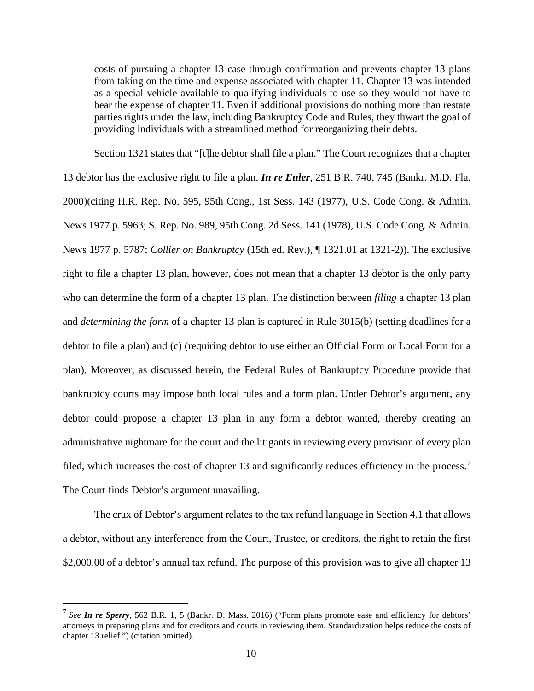costs of pursuing a chapter 13 case through confirmation and prevents chapter 13 plans from taking on the time and expense associated with chapter 11. Chapter 13 was intended as a special vehicle available to qualifying individuals to use so they would not have to bear the expense of chapter 11. Even if additional provisions do nothing more than restate parties rights under the law, including Bankruptcy Code and Rules, they thwart the goal of providing individuals with a streamlined method for reorganizing their debts.

Section 1321 states that "[t]he debtor shall file a plan." The Court recognizes that a chapter

13 debtor has the exclusive right to file a plan. *In re Euler*, 251 B.R. 740, 745 (Bankr. M.D. Fla. 2000)(citing H.R. Rep. No. 595, 95th Cong., 1st Sess. 143 (1977), U.S. Code Cong. & Admin. News 1977 p. 5963; S. Rep. No. 989, 95th Cong. 2d Sess. 141 (1978), U.S. Code Cong. & Admin. News 1977 p. 5787; *Collier on Bankruptcy* (15th ed. Rev.), ¶ 1321.01 at 1321-2)). The exclusive right to file a chapter 13 plan, however, does not mean that a chapter 13 debtor is the only party who can determine the form of a chapter 13 plan. The distinction between *filing* a chapter 13 plan and *determining the form* of a chapter 13 plan is captured in Rule 3015(b) (setting deadlines for a debtor to file a plan) and (c) (requiring debtor to use either an Official Form or Local Form for a plan). Moreover, as discussed herein, the Federal Rules of Bankruptcy Procedure provide that bankruptcy courts may impose both local rules and a form plan. Under Debtor's argument, any debtor could propose a chapter 13 plan in any form a debtor wanted, thereby creating an administrative nightmare for the court and the litigants in reviewing every provision of every plan filed, which increases the cost of chapter 13 and significantly reduces efficiency in the process.<sup>[7](#page-9-0)</sup> The Court finds Debtor's argument unavailing.

The crux of Debtor's argument relates to the tax refund language in Section 4.1 that allows a debtor, without any interference from the Court, Trustee, or creditors, the right to retain the first \$2,000.00 of a debtor's annual tax refund. The purpose of this provision was to give all chapter 13

<span id="page-9-0"></span> <sup>7</sup> *See In re Sperry*, <sup>562</sup> B.R. 1, <sup>5</sup> (Bankr. D. Mass. 2016) ("Form plans promote ease and efficiency for debtors' attorneys in preparing plans and for creditors and courts in reviewing them. Standardization helps reduce the costs of chapter 13 relief.") (citation omitted).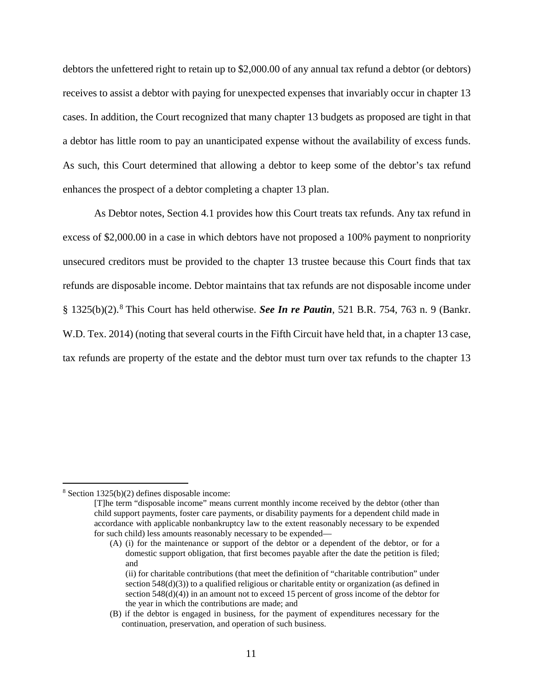debtors the unfettered right to retain up to \$2,000.00 of any annual tax refund a debtor (or debtors) receives to assist a debtor with paying for unexpected expenses that invariably occur in chapter 13 cases. In addition, the Court recognized that many chapter 13 budgets as proposed are tight in that a debtor has little room to pay an unanticipated expense without the availability of excess funds. As such, this Court determined that allowing a debtor to keep some of the debtor's tax refund enhances the prospect of a debtor completing a chapter 13 plan.

As Debtor notes, Section 4.1 provides how this Court treats tax refunds. Any tax refund in excess of \$2,000.00 in a case in which debtors have not proposed a 100% payment to nonpriority unsecured creditors must be provided to the chapter 13 trustee because this Court finds that tax refunds are disposable income. Debtor maintains that tax refunds are not disposable income under § 1325(b)(2).[8](#page-10-0) This Court has held otherwise. *See In re Pautin*, 521 B.R. 754, 763 n. 9 (Bankr. W.D. Tex. 2014) (noting that several courts in the Fifth Circuit have held that, in a chapter 13 case, tax refunds are property of the estate and the debtor must turn over tax refunds to the chapter 13

<span id="page-10-0"></span> <sup>8</sup> Section 1325(b)(2) defines disposable income:

<sup>[</sup>T]he term "disposable income" means current monthly income received by the debtor (other than child support payments, foster care payments, or disability payments for a dependent child made in accordance with applicable nonbankruptcy law to the extent reasonably necessary to be expended for such child) less amounts reasonably necessary to be expended—

<sup>(</sup>A) (i) for the maintenance or support of the debtor or a dependent of the debtor, or for a domestic support obligation, that first becomes payable after the date the petition is filed; and

<sup>(</sup>ii) for charitable contributions (that meet the definition of "charitable contribution" under section 548(d)(3)) to a qualified religious or charitable entity or organization (as defined in section 548(d)(4)) in an amount not to exceed 15 percent of gross income of the debtor for the year in which the contributions are made; and

<sup>(</sup>B) if the debtor is engaged in business, for the payment of expenditures necessary for the continuation, preservation, and operation of such business.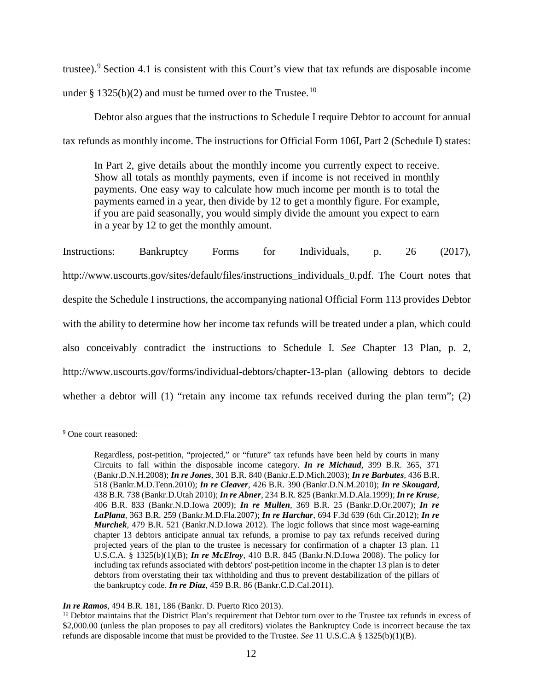trustee).[9](#page-11-0) Section 4.1 is consistent with this Court's view that tax refunds are disposable income under § 1325(b)(2) and must be turned over to the Trustee.<sup>[10](#page-11-1)</sup>

Debtor also argues that the instructions to Schedule I require Debtor to account for annual tax refunds as monthly income. The instructions for Official Form 106I, Part 2 (Schedule I) states:

In Part 2, give details about the monthly income you currently expect to receive. Show all totals as monthly payments, even if income is not received in monthly payments. One easy way to calculate how much income per month is to total the payments earned in a year, then divide by 12 to get a monthly figure. For example, if you are paid seasonally, you would simply divide the amount you expect to earn in a year by 12 to get the monthly amount.

Instructions: Bankruptcy Forms for Individuals, p. 26 (2017), http://www.uscourts.gov/sites/default/files/instructions individuals 0.pdf. The Court notes that despite the Schedule I instructions, the accompanying national Official Form 113 provides Debtor with the ability to determine how her income tax refunds will be treated under a plan, which could also conceivably contradict the instructions to Schedule I. *See* Chapter 13 Plan, p. 2, http://www.uscourts.gov/forms/individual-debtors/chapter-13-plan (allowing debtors to decide whether a debtor will  $(1)$  "retain any income tax refunds received during the plan term";  $(2)$ 

<span id="page-11-0"></span> <sup>9</sup> One court reasoned:

Regardless, post-petition, "projected," or "future" tax refunds have been held by courts in many Circuits to fall within the disposable income category. *In re [Michaud](https://1.next.westlaw.com/Link/Document/FullText?findType=Y&serNum=2017827451&pubNum=0000164&originatingDoc=I7a78de53cd7711e28501bda794601919&refType=RP&fi=co_pp_sp_164_371&originationContext=document&transitionType=DocumentItem&contextData=(sc.Search)#co_pp_sp_164_371),* 399 B.R. 365, 371 [\(Bankr.D.N.H.2008\);](https://1.next.westlaw.com/Link/Document/FullText?findType=Y&serNum=2017827451&pubNum=0000164&originatingDoc=I7a78de53cd7711e28501bda794601919&refType=RP&fi=co_pp_sp_164_371&originationContext=document&transitionType=DocumentItem&contextData=(sc.Search)#co_pp_sp_164_371) *In re Jones,* 301 B.R. 840 [\(Bankr.E.D.Mich.2003\);](https://1.next.westlaw.com/Link/Document/FullText?findType=Y&serNum=2003914022&pubNum=0000164&originatingDoc=I7a78de53cd7711e28501bda794601919&refType=RP&originationContext=document&transitionType=DocumentItem&contextData=(sc.Search)) *In re [Barbutes](https://1.next.westlaw.com/Link/Document/FullText?findType=Y&serNum=2022966037&pubNum=0000164&originatingDoc=I7a78de53cd7711e28501bda794601919&refType=RP&originationContext=document&transitionType=DocumentItem&contextData=(sc.Search)),* 436 B.R. 518 [\(Bankr.M.D.Tenn.2010\);](https://1.next.westlaw.com/Link/Document/FullText?findType=Y&serNum=2022966037&pubNum=0000164&originatingDoc=I7a78de53cd7711e28501bda794601919&refType=RP&originationContext=document&transitionType=DocumentItem&contextData=(sc.Search)) *In re Cleaver,* 426 B.R. 390 [\(Bankr.D.N.M.2010\);](https://1.next.westlaw.com/Link/Document/FullText?findType=Y&serNum=2021613895&pubNum=0000164&originatingDoc=I7a78de53cd7711e28501bda794601919&refType=RP&originationContext=document&transitionType=DocumentItem&contextData=(sc.Search)) *In re [Skougard](https://1.next.westlaw.com/Link/Document/FullText?findType=Y&serNum=2023607670&pubNum=0000164&originatingDoc=I7a78de53cd7711e28501bda794601919&refType=RP&originationContext=document&transitionType=DocumentItem&contextData=(sc.Search)),* 438 B.R. 738 [\(Bankr.D.Utah](https://1.next.westlaw.com/Link/Document/FullText?findType=Y&serNum=2023607670&pubNum=0000164&originatingDoc=I7a78de53cd7711e28501bda794601919&refType=RP&originationContext=document&transitionType=DocumentItem&contextData=(sc.Search)) 2010); *In re Abner,* 234 B.R. 825 [\(Bankr.M.D.Ala.1999\);](https://1.next.westlaw.com/Link/Document/FullText?findType=Y&serNum=1999143321&pubNum=0000164&originatingDoc=I7a78de53cd7711e28501bda794601919&refType=RP&originationContext=document&transitionType=DocumentItem&contextData=(sc.Search)) *In re [Kruse](https://1.next.westlaw.com/Link/Document/FullText?findType=Y&serNum=2019117652&pubNum=0000164&originatingDoc=I7a78de53cd7711e28501bda794601919&refType=RP&originationContext=document&transitionType=DocumentItem&contextData=(sc.Search)),* 406 B.R. 833 [\(Bankr.N.D.Iowa](https://1.next.westlaw.com/Link/Document/FullText?findType=Y&serNum=2019117652&pubNum=0000164&originatingDoc=I7a78de53cd7711e28501bda794601919&refType=RP&originationContext=document&transitionType=DocumentItem&contextData=(sc.Search)) 2009); *In re Mullen,* 369 B.R. 25 [\(Bankr.D.Or.2007\);](https://1.next.westlaw.com/Link/Document/FullText?findType=Y&serNum=2012282463&pubNum=0000164&originatingDoc=I7a78de53cd7711e28501bda794601919&refType=RP&originationContext=document&transitionType=DocumentItem&contextData=(sc.Search)) *[In](https://1.next.westlaw.com/Link/Document/FullText?findType=Y&serNum=2011431581&pubNum=0000164&originatingDoc=I7a78de53cd7711e28501bda794601919&refType=RP&originationContext=document&transitionType=DocumentItem&contextData=(sc.Search)) re LaPlana,* 363 B.R. 259 [\(Bankr.M.D.Fla.2007\);](https://1.next.westlaw.com/Link/Document/FullText?findType=Y&serNum=2011431581&pubNum=0000164&originatingDoc=I7a78de53cd7711e28501bda794601919&refType=RP&originationContext=document&transitionType=DocumentItem&contextData=(sc.Search)) *In re Harchar,* 694 F.3d 639 (6th [Cir.2012\);](https://1.next.westlaw.com/Link/Document/FullText?findType=Y&serNum=2028594933&pubNum=0000506&originatingDoc=I7a78de53cd7711e28501bda794601919&refType=RP&originationContext=document&transitionType=DocumentItem&contextData=(sc.Search)) *[In](https://1.next.westlaw.com/Link/Document/FullText?findType=Y&serNum=2028230975&pubNum=0000164&originatingDoc=I7a78de53cd7711e28501bda794601919&refType=RP&originationContext=document&transitionType=DocumentItem&contextData=(sc.Search)) re Murchek,* 479 B.R. 521 [\(Bankr.N.D.Iowa](https://1.next.westlaw.com/Link/Document/FullText?findType=Y&serNum=2028230975&pubNum=0000164&originatingDoc=I7a78de53cd7711e28501bda794601919&refType=RP&originationContext=document&transitionType=DocumentItem&contextData=(sc.Search)) 2012). The logic follows that since most wage-earning chapter 13 debtors anticipate annual tax refunds, a promise to pay tax refunds received during projected years of the plan to the trustee is necessary for confirmation of a chapter 13 plan. [11](https://1.next.westlaw.com/Link/Document/FullText?findType=L&pubNum=1000546&cite=11USCAS1325&originatingDoc=I7a78de53cd7711e28501bda794601919&refType=RB&originationContext=document&transitionType=DocumentItem&contextData=(sc.Search)#co_pp_2a4b0000e5562) U.S.C.A. § [1325\(b\)\(1\)\(B\);](https://1.next.westlaw.com/Link/Document/FullText?findType=L&pubNum=1000546&cite=11USCAS1325&originatingDoc=I7a78de53cd7711e28501bda794601919&refType=RB&originationContext=document&transitionType=DocumentItem&contextData=(sc.Search)#co_pp_2a4b0000e5562) *In re McElroy,* 410 B.R. 845 [\(Bankr.N.D.Iowa](https://1.next.westlaw.com/Link/Document/FullText?findType=Y&serNum=2017595982&pubNum=0000164&originatingDoc=I7a78de53cd7711e28501bda794601919&refType=RP&originationContext=document&transitionType=DocumentItem&contextData=(sc.Search)) 2008). The policy for including tax refunds associated with debtors' post-petition income in the chapter 13 plan is to deter debtors from overstating their tax withholding and thus to prevent destabilization of the pillars of the bankruptcy code. *In re Diaz,* 459 B.R. 86 [\(Bankr.C.D.Cal.2011\).](https://1.next.westlaw.com/Link/Document/FullText?findType=Y&serNum=2026294454&pubNum=0000164&originatingDoc=I7a78de53cd7711e28501bda794601919&refType=RP&originationContext=document&transitionType=DocumentItem&contextData=(sc.Search))

*In re Ramos*, 494 B.R. 181, 186 (Bankr. D. Puerto Rico 2013).

<span id="page-11-1"></span> $10$  Debtor maintains that the District Plan's requirement that Debtor turn over to the Trustee tax refunds in excess of \$2,000.00 (unless the plan proposes to pay all creditors) violates the Bankruptcy Code is incorrect because the tax refunds are disposable income that must be provided to the Trustee. *See* 11 U.S.C.A § 1325(b)(1)(B).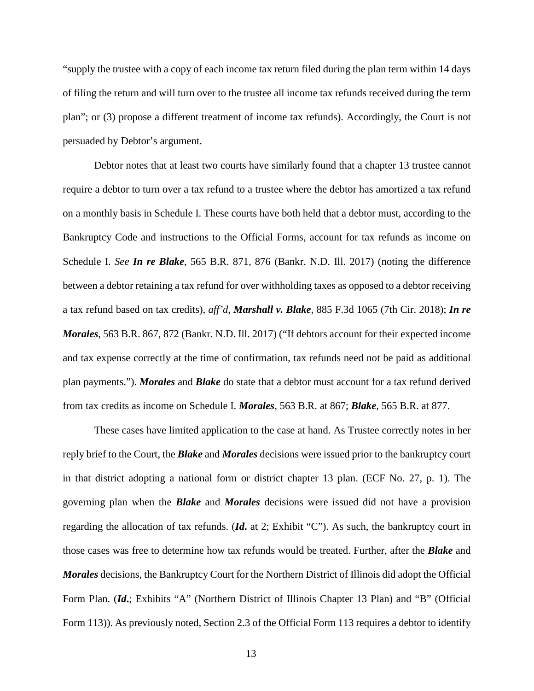"supply the trustee with a copy of each income tax return filed during the plan term within 14 days of filing the return and will turn over to the trustee all income tax refunds received during the term plan"; or (3) propose a different treatment of income tax refunds). Accordingly, the Court is not persuaded by Debtor's argument.

Debtor notes that at least two courts have similarly found that a chapter 13 trustee cannot require a debtor to turn over a tax refund to a trustee where the debtor has amortized a tax refund on a monthly basis in Schedule I. These courts have both held that a debtor must, according to the Bankruptcy Code and instructions to the Official Forms, account for tax refunds as income on Schedule I. *See In re Blake*, 565 B.R. 871, 876 (Bankr. N.D. Ill. 2017) (noting the difference between a debtor retaining a tax refund for over withholding taxes as opposed to a debtor receiving a tax refund based on tax credits), *aff'd*, *Marshall v. Blake*, 885 F.3d 1065 (7th Cir. 2018); *In re Morales*, 563 B.R. 867, 872 (Bankr. N.D. Ill. 2017) ("If debtors account for their expected income and tax expense correctly at the time of confirmation, tax refunds need not be paid as additional plan payments."). *Morales* and *Blake* do state that a debtor must account for a tax refund derived from tax credits as income on Schedule I. *Morales*, 563 B.R. at 867; *Blake*, 565 B.R. at 877.

These cases have limited application to the case at hand. As Trustee correctly notes in her reply brief to the Court, the *Blake* and *Morales* decisions were issued prior to the bankruptcy court in that district adopting a national form or district chapter 13 plan. (ECF No. 27, p. 1). The governing plan when the *Blake* and *Morales* decisions were issued did not have a provision regarding the allocation of tax refunds. (*Id***.** at 2; Exhibit "C"). As such, the bankruptcy court in those cases was free to determine how tax refunds would be treated. Further, after the *Blake* and *Morales* decisions, the Bankruptcy Court for the Northern District of Illinois did adopt the Official Form Plan. (*Id***.**; Exhibits "A" (Northern District of Illinois Chapter 13 Plan) and "B" (Official Form 113)). As previously noted, Section 2.3 of the Official Form 113 requires a debtor to identify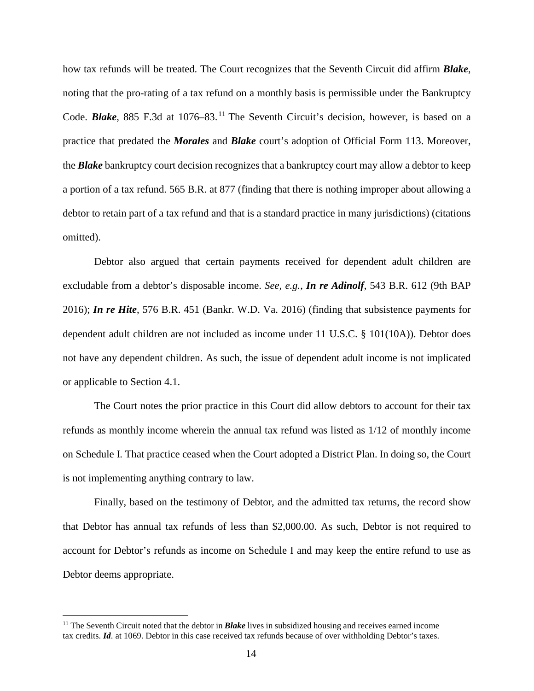how tax refunds will be treated. The Court recognizes that the Seventh Circuit did affirm *Blake*, noting that the pro-rating of a tax refund on a monthly basis is permissible under the Bankruptcy Code. **Blake**, 885 F.3d at 1076–83.<sup>[11](#page-13-0)</sup> The Seventh Circuit's decision, however, is based on a practice that predated the *Morales* and *Blake* court's adoption of Official Form 113. Moreover, the *Blake* bankruptcy court decision recognizes that a bankruptcy court may allow a debtor to keep a portion of a tax refund. 565 B.R. at 877 (finding that there is nothing improper about allowing a debtor to retain part of a tax refund and that is a standard practice in many jurisdictions) (citations omitted).

Debtor also argued that certain payments received for dependent adult children are excludable from a debtor's disposable income. *See, e.g.*, *In re Adinolf*, 543 B.R. 612 (9th BAP 2016); *In re Hite*, 576 B.R. 451 (Bankr. W.D. Va. 2016) (finding that subsistence payments for dependent adult children are not included as income under 11 U.S.C. § 101(10A)). Debtor does not have any dependent children. As such, the issue of dependent adult income is not implicated or applicable to Section 4.1.

The Court notes the prior practice in this Court did allow debtors to account for their tax refunds as monthly income wherein the annual tax refund was listed as 1/12 of monthly income on Schedule I. That practice ceased when the Court adopted a District Plan. In doing so, the Court is not implementing anything contrary to law.

Finally, based on the testimony of Debtor, and the admitted tax returns, the record show that Debtor has annual tax refunds of less than \$2,000.00. As such, Debtor is not required to account for Debtor's refunds as income on Schedule I and may keep the entire refund to use as Debtor deems appropriate.

<span id="page-13-0"></span> <sup>11</sup> The Seventh Circuit noted that the debtor in *Blake* lives in subsidized housing and receives earned income tax credits. *Id*. at 1069. Debtor in this case received tax refunds because of over withholding Debtor's taxes.